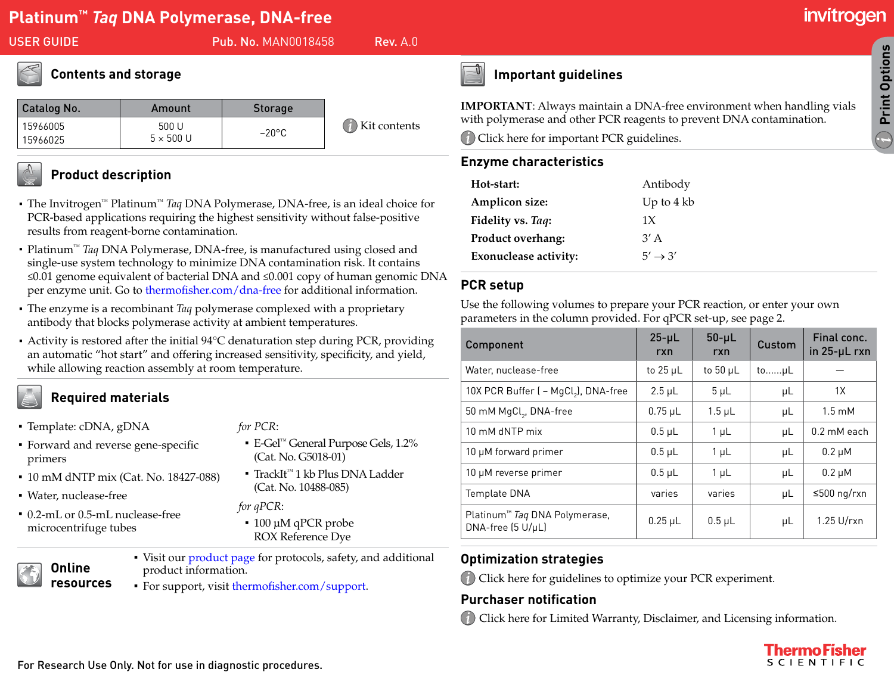USER GUIDE **Pub. No. MAN0018458** Rev. A.0

# **Contents and storage**

| Catalog No. | Amount                   | <b>Storage</b>  |                                                               |
|-------------|--------------------------|-----------------|---------------------------------------------------------------|
| 15966005    | 500 U                    | $-20^{\circ}$ C | $\left(\begin{matrix} 1\\ 1 \end{matrix}\right)$ Kit contents |
| 15966025    | $5 \times 500 \text{ U}$ |                 |                                                               |



### **Product description**

- · The Invitrogen™ Platinum™ *Taq* DNA Polymerase, DNA-free, is an ideal choice for PCR-based applications requiring the highest sensitivity without false-positive results from reagent-borne contamination.
- · Platinum™ *Taq* DNA Polymerase, DNA-free, is manufactured using closed and single-use system technology to minimize DNA contamination risk. It contains ≤0.01 genome equivalent of bacterial DNA and ≤0.001 copy of human genomic DNA per enzyme unit. Go to [thermofisher.com/dna-free](http://www.thermofisher.com/dna-free) for additional information.
- · The enzyme is a recombinant *Taq* polymerase complexed with a proprietary antibody that blocks polymerase activity at ambient temperatures.
- · Activity is restored after the initial 94°C denaturation step during PCR, providing an automatic "hot start" and offering increased sensitivity, specificity, and yield, while allowing reaction assembly at room temperature.

## **Required materials**

- ∤ Template: cDNA, gDNA
- Forward and reverse gene-specific primers
- 10 mM dNTP mix (Cat. No. 18427-088)
- Water, nuclease-free
- 0.2-mL or 0.5-mL nuclease-free microcentrifuge tubes
- *for PCR*:
- ∤ E-Gel™ General Purpose Gels, 1.2% [\(Cat. No. G5018-01\)](http://www.thermofisher.com/support)
- TrackIt<sup>™</sup> 1 kb Plus DNA Ladder (Cat. No. 10488-085)
- *for qPCR*:
- ∤ 100 µM qPCR probe ROX Reference Dye

## **Online resources**

- Visit our [product page](https://www.thermofisher.com/order/catalog/product/15966005) for protocols, safety, and additional product information.
- For support, visit [thermofisher.com/support](https://www.thermofisher.com/support).



# <span id="page-0-1"></span>**Important guidelines**

**IMPORTANT:** Always maintain a DNA-free enviror with polymerase and other PCR reagents to prevent Click here for important PCR guidelines.

#### **Enzyme characteristics**

| Hot-start:                   | Antibody               |
|------------------------------|------------------------|
| Amplicon size:               | Up to $4 \, \text{kb}$ |
| Fidelity vs. Taq:            | 1X                     |
| Product overhang:            | $3'$ A                 |
| <b>Exonuclease activity:</b> | $5' \rightarrow 3'$    |
|                              |                        |

#### **PCR setup**

Use the following volumes to prepare your PCR reaction, or enter your own parameters in the column provided. For qPCR set-up, see page [2](#page-1-0).

| Component                                                        | $25 - \mu L$<br>rxn | $50 - \mu L$<br>rxn | Custom  | Final conc.<br>in $25 - \mu L$ rxn |
|------------------------------------------------------------------|---------------------|---------------------|---------|------------------------------------|
| Water, nuclease-free                                             | to $25 \mu L$       | to 50 $\mu$ L       | toµL    |                                    |
| 10X PCR Buffer ( - MgCl <sub>2</sub> ), DNA-free                 | $2.5 \mu L$         | $5 \mu L$           | μL      | 1X                                 |
| 50 mM MgCl <sub>2</sub> , DNA-free                               | $0.75$ µL           | $1.5$ $\mu$ L       | μL      | $1.5 \text{ mM}$                   |
| 10 mM dNTP mix                                                   | $0.5$ µL            | $1 \mu L$           | μL      | $0.2 \text{ mM}$ each              |
| 10 µM forward primer                                             | $0.5$ $\mu$ L       | $1 \mu L$           | μL      | $0.2 \mu M$                        |
| 10 µM reverse primer                                             | $0.5$ $\mu$ L       | $1\mu$ L            | μL      | $0.2 \mu M$                        |
| Template DNA                                                     | varies              | varies              | $\mu$ L | ≤500 ng/rxn                        |
| Platinum <sup>™</sup> Taq DNA Polymerase,<br>$DNA-free (5 U/µL)$ | $0.25 \mu L$        | $0.5 \mu L$         | μL      | $1.25$ U/rxn                       |

## <span id="page-0-0"></span>**Optimization strategies**

Click here for guidelines to optimize your PCR experiment.

## **Purchaser notification**

Click here for Limited Warranty, Disclaimer, and Licensing information.



CLOS<sup>CLOS</sup><br>Print Options **Print Options**

 $\bigodot$ 

**Print Protocol**

**Print Pop-Ups**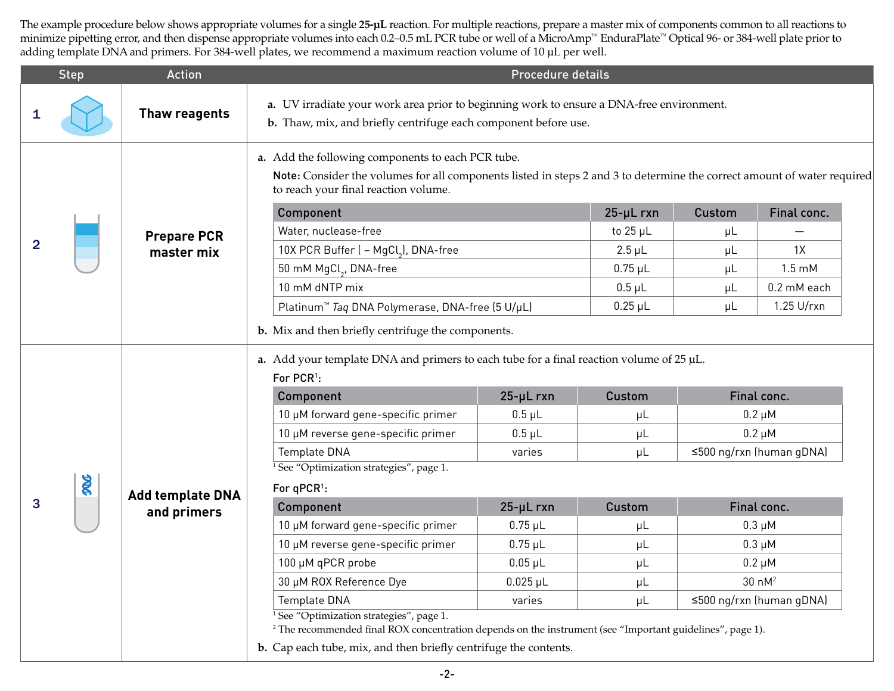The example procedure below shows appropriate volumes for a single **25-µL** reaction. For multiple reactions, prepare a master mix of components common to all reactions to minimize pipetting error, and then dispense appropriate volumes into each 0.2–0.5 mL PCR tube or well of a MicroAmp™ EnduraPlate™ Optical 96- or 384-well plate prior to adding template DNA and primers. For 384-well plates, we recommend a maximum reaction volume of 10 µL per well.

<span id="page-1-0"></span>

|                | <b>Step</b> | <b>Action</b>                          |                                                                                                                                                                                                                                                                                                                                                                                                                                                                                                                                                                                                                                                                                                      | Procedure details                                                                                                                             |                                                                                                |                                           |                                                                                                                                                                                     |
|----------------|-------------|----------------------------------------|------------------------------------------------------------------------------------------------------------------------------------------------------------------------------------------------------------------------------------------------------------------------------------------------------------------------------------------------------------------------------------------------------------------------------------------------------------------------------------------------------------------------------------------------------------------------------------------------------------------------------------------------------------------------------------------------------|-----------------------------------------------------------------------------------------------------------------------------------------------|------------------------------------------------------------------------------------------------|-------------------------------------------|-------------------------------------------------------------------------------------------------------------------------------------------------------------------------------------|
|                |             | Thaw reagents                          | a. UV irradiate your work area prior to beginning work to ensure a DNA-free environment.<br>b. Thaw, mix, and briefly centrifuge each component before use.                                                                                                                                                                                                                                                                                                                                                                                                                                                                                                                                          |                                                                                                                                               |                                                                                                |                                           |                                                                                                                                                                                     |
| $\overline{2}$ |             | <b>Prepare PCR</b><br>master mix       | a. Add the following components to each PCR tube.<br>Note: Consider the volumes for all components listed in steps 2 and 3 to determine the correct amount of water required<br>to reach your final reaction volume.<br>Component<br>Water, nuclease-free<br>10X PCR Buffer ( - MgCl <sub>2</sub> ), DNA-free<br>50 mM MgCl <sub>2</sub> , DNA-free<br>10 mM dNTP mix<br>Platinum <sup>™</sup> Taq DNA Polymerase, DNA-free (5 U/µL)<br>b. Mix and then briefly centrifuge the components.                                                                                                                                                                                                           |                                                                                                                                               | $25 - \mu$ rxn<br>to $25 \mu L$<br>$2.5 \mu L$<br>$0.75$ $\mu$ L<br>$0.5$ $\mu$ L<br>$0.25$ µL | Custom<br>μL<br>μL<br>μL<br>$\mu$ L<br>μL | Final conc.<br>1X<br>$1.5 \text{ mM}$<br>0.2 mM each<br>1.25 U/rxn                                                                                                                  |
| 3              | R           | <b>Add template DNA</b><br>and primers | a. Add your template DNA and primers to each tube for a final reaction volume of $25 \mu L$ .<br>For PCR <sup>1</sup> :<br>Component<br>10 µM forward gene-specific primer<br>10 µM reverse gene-specific primer<br>Template DNA<br>See "Optimization strategies", page 1.<br>For qPCR <sup>1</sup> :<br>Component<br>10 µM forward gene-specific primer<br>10 µM reverse gene-specific primer<br>100 µM qPCR probe<br>30 µM ROX Reference Dye<br>Template DNA<br>See "Optimization strategies", page 1.<br><sup>2</sup> The recommended final ROX concentration depends on the instrument (see "Important guidelines", page 1).<br>b. Cap each tube, mix, and then briefly centrifuge the contents. | $25 - µ L rxn$<br>$0.5$ $\mu$ L<br>$0.5$ $\mu$ L<br>varies<br>$25 - µL$ rxn<br>$0.75$ µL<br>$0.75$ µL<br>$0.05$ µL<br>$0.025 \mu L$<br>varies | <b>Custom</b><br>$\mu$ L<br>μL<br>μL<br><b>Custom</b><br>μL<br>μL<br>$\mu$ L<br>μL<br>μL       |                                           | Final conc.<br>$0.2 \mu M$<br>$0.2 \mu M$<br>≤500 ng/rxn (human gDNA)<br>Final conc.<br>$0.3 \mu M$<br>$0.3 \mu M$<br>$0.2 \mu M$<br>30 nM <sup>2</sup><br>≤500 ng/rxn (human gDNA) |